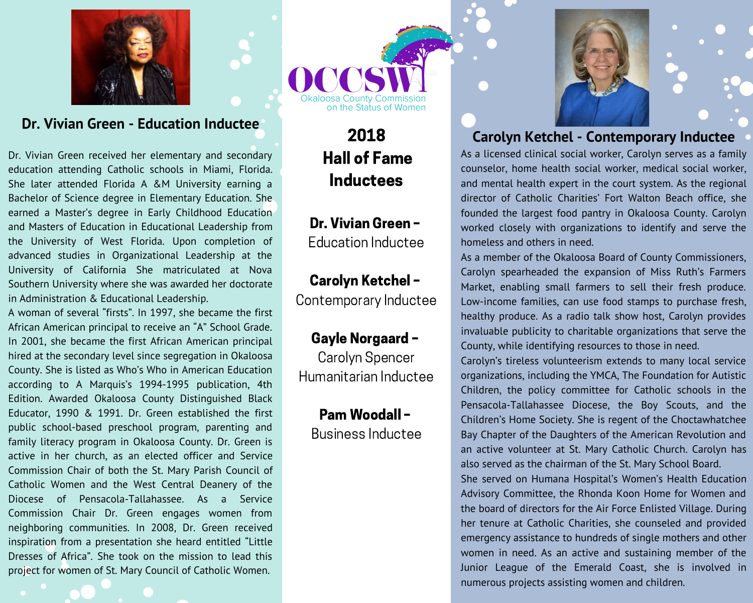

#### Dr. Vivian Green - Education Inductee

Dr. Vivian Green received her elementary and secondary education attending Catholic schools in Miami, Florida. She later attended Florida A &M University earning a Bachelor of Science degree in Elementary Education. She earned a Master's degree in Early Childhood Education and Masters of Education in Educational Leadership from the University of West Florida. Upon completion of advanced studies in Organizational Leadership at the University of California She matriculated at Nova Southern University where she was awarded her doctorate in Administration & Educational Leadership.

A woman of several "firsts". In 1997, she became the first African American principal to receive an "A" School Grade. In 2001, she became the first African American principal hired at the secondary level since segregation in Okaloosa County. She is listed as Who's Who in American Education according to A Marquis's 1994-1995 publication, 4th Edition. Awarded Okaloosa County Distinguished Black Educator, 1990 & 1991. Dr. Green established the first public school-based preschool program, parenting and family literacy program in Okaloosa County. Dr. Green is active in her church, as an elected officer and Service Commission Chair of both the St. Mary Parish Council of Catholic Women and the West Central Deanery of the Diocese of Pensacola-Tallahassee. As a Service Commission Chair Dr. Green engages women from neighboring communities. In 2008, Dr. Green received inspiration from a presentation she heard entitled "Little Dresses of Africa". She took on the mission to lead this project for women of St. Mary Council of Catholic Women.

on the Status of Women

2018 **Hall of Fame Inductees** 

Dr. Vivian Green -**Education Inductee** 

# **Carolyn Ketchel -**

Contemporary Inductee

#### Gayle Norgaard -

Carolyn Spencer Humanitarian Inductee

> Pam Woodall -**Business Inductee**



#### **Carolyn Ketchel - Contemporary Inductee**

As a licensed clinical social worker, Carolyn serves as a family counselor, home health social worker, medical social worker, and mental health expert in the court system. As the regional director of Catholic Charities' Fort Walton Beach office, she founded the largest food pantry in Okaloosa County. Carolyn worked closely with organizations to identify and serve the homeless and others in need.

As a member of the Okaloosa Board of County Commissioners, Carolyn spearheaded the expansion of Miss Ruth's Farmers Market, enabling small farmers to sell their fresh produce. Low-income families, can use food stamps to purchase fresh, healthy produce. As a radio talk show host, Carolyn provides invaluable publicity to charitable organizations that serve the County, while identifying resources to those in need.

Carolyn's tireless volunteerism extends to many local service organizations, including the YMCA, The Foundation for Autistic Children, the policy committee for Catholic schools in the Pensacola-Tallahassee Diocese, the Boy Scouts, and the Children's Home Society. She is regent of the Choctawhatchee Bay Chapter of the Daughters of the American Revolution and an active volunteer at St. Mary Catholic Church. Carolyn has also served as the chairman of the St. Mary School Board.

She served on Humana Hospital's Women's Health Education Advisory Committee, the Rhonda Koon Home for Women and the board of directors for the Air Force Enlisted Village. During her tenure at Catholic Charities, she counseled and provided emergency assistance to hundreds of single mothers and other women in need. As an active and sustaining member of the Junior League of the Emerald Coast, she is involved in numerous projects assisting women and children.